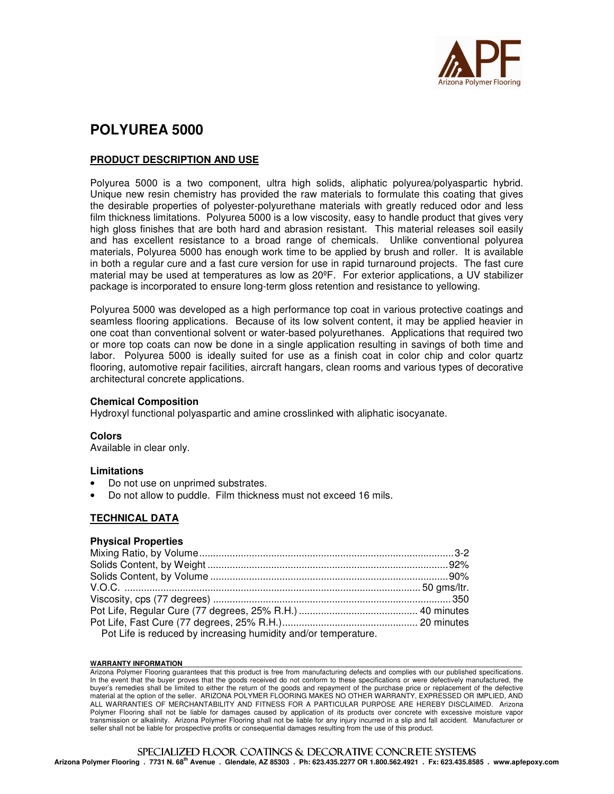

# **POLYUREA 5000**

# **PRODUCT DESCRIPTION AND USE**

Polyurea 5000 is a two component, ultra high solids, aliphatic polyurea/polyaspartic hybrid. Unique new resin chemistry has provided the raw materials to formulate this coating that gives the desirable properties of polyester-polyurethane materials with greatly reduced odor and less film thickness limitations. Polyurea 5000 is a low viscosity, easy to handle product that gives very high gloss finishes that are both hard and abrasion resistant. This material releases soil easily and has excellent resistance to a broad range of chemicals. Unlike conventional polyurea materials, Polyurea 5000 has enough work time to be applied by brush and roller. It is available in both a regular cure and a fast cure version for use in rapid turnaround projects. The fast cure material may be used at temperatures as low as 20ºF. For exterior applications, a UV stabilizer package is incorporated to ensure long-term gloss retention and resistance to yellowing.

Polyurea 5000 was developed as a high performance top coat in various protective coatings and seamless flooring applications. Because of its low solvent content, it may be applied heavier in one coat than conventional solvent or water-based polyurethanes. Applications that required two or more top coats can now be done in a single application resulting in savings of both time and labor. Polyurea 5000 is ideally suited for use as a finish coat in color chip and color quartz flooring, automotive repair facilities, aircraft hangars, clean rooms and various types of decorative architectural concrete applications.

#### **Chemical Composition**

Hydroxyl functional polyaspartic and amine crosslinked with aliphatic isocyanate.

#### **Colors**

Available in clear only.

#### **Limitations**

- Do not use on unprimed substrates.
- Do not allow to puddle. Film thickness must not exceed 16 mils.

# **TECHNICAL DATA**

#### **Physical Properties**

| Pot Life is reduced by increasing humidity and/or temperature. |  |
|----------------------------------------------------------------|--|

#### WARRANTY INFORMATION

Arizona Polymer Flooring guarantees that this product is free from manufacturing defects and complies with our published specifications. In the event that the buyer proves that the goods received do not conform to these specifications or were defectively manufactured, the buyer's remedies shall be limited to either the return of the goods and repayment of the purchase price or replacement of the defective material at the option of the seller. ARIZONA POLYMER FLOORING MAKES NO OTHER WARRANTY, EXPRESSED OR IMPLIED, AND ALL WARRANTIES OF MERCHANTABILITY AND FITNESS FOR A PARTICULAR PURPOSE ARE HEREBY DISCLAIMED. Arizona Polymer Flooring shall not be liable for damages caused by application of its products over concrete with excessive moisture vapor transmission or alkalinity. Arizona Polymer Flooring shall not be liable for any injury incurred in a slip and fall accident. Manufacturer or seller shall not be liable for prospective profits or consequential damages resulting from the use of this product.

# SPECIALIZED FLOOR COATINGS & DECORATIVE CONCRETE SYSTEMS

**Arizona Polymer Flooring . 7731 N. 68th Avenue . Glendale, AZ 85303 . Ph: 623.435.2277 OR 1.800.562.4921 . Fx: 623.435.8585 . www.apfepoxy.com**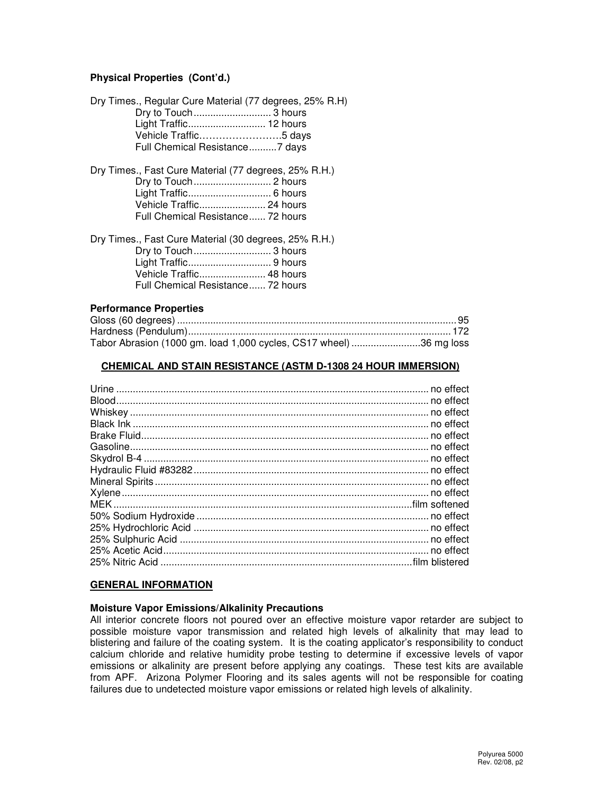# **Physical Properties (Cont'd.)**

| Dry Times., Regular Cure Material (77 degrees, 25% R.H)<br>Light Traffic 12 hours<br>Vehicle Traffic5 days<br>Full Chemical Resistance7 days                            |  |
|-------------------------------------------------------------------------------------------------------------------------------------------------------------------------|--|
| Dry Times., Fast Cure Material (77 degrees, 25% R.H.)<br>Vehicle Traffic 24 hours<br>Full Chemical Resistance 72 hours                                                  |  |
| Dry Times., Fast Cure Material (30 degrees, 25% R.H.)<br>Dry to Touch 3 hours<br>Light Traffic 9 hours<br>Vehicle Traffic 48 hours<br>Full Chemical Resistance 72 hours |  |

#### **Performance Properties**

| Tabor Abrasion (1000 gm. load 1,000 cycles, CS17 wheel) 36 mg loss |  |
|--------------------------------------------------------------------|--|

#### **CHEMICAL AND STAIN RESISTANCE (ASTM D-1308 24 HOUR IMMERSION)**

#### **GENERAL INFORMATION**

### **Moisture Vapor Emissions/Alkalinity Precautions**

All interior concrete floors not poured over an effective moisture vapor retarder are subject to possible moisture vapor transmission and related high levels of alkalinity that may lead to blistering and failure of the coating system. It is the coating applicator's responsibility to conduct calcium chloride and relative humidity probe testing to determine if excessive levels of vapor emissions or alkalinity are present before applying any coatings. These test kits are available from APF. Arizona Polymer Flooring and its sales agents will not be responsible for coating failures due to undetected moisture vapor emissions or related high levels of alkalinity.